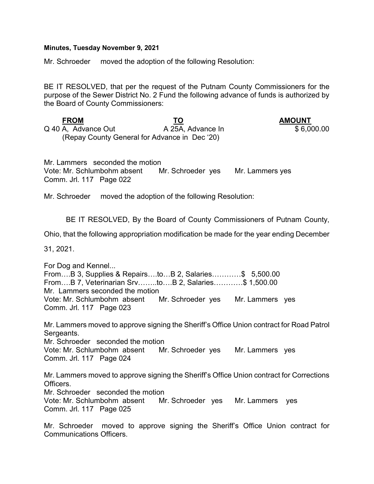## Minutes, Tuesday November 9, 2021

Mr. Schroeder moved the adoption of the following Resolution:

BE IT RESOLVED, that per the request of the Putnam County Commissioners for the purpose of the Sewer District No. 2 Fund the following advance of funds is authorized by the Board of County Commissioners:

FROM TO TO AMOUNT Q 40 A, Advance Out **A 25A, Advance In** \$ 6,000.00 (Repay County General for Advance in Dec '20)

Mr. Lammers seconded the motion Vote: Mr. Schlumbohm absent Mr. Schroeder yes Mr. Lammers yes Comm. Jrl. 117 Page 022

Mr. Schroeder moved the adoption of the following Resolution:

BE IT RESOLVED, By the Board of County Commissioners of Putnam County,

Ohio, that the following appropriation modification be made for the year ending December

31, 2021.

For Dog and Kennel... From….B 3, Supplies & Repairs….to…B 2, Salaries…………\$ 5,500.00 From….B 7, Veterinarian Srv……..to….B 2, Salaries…………\$ 1,500.00 Mr. Lammers seconded the motion Vote: Mr. Schlumbohm absent Mr. Schroeder yes Mr. Lammers yes Comm. Jrl. 117 Page 023

Mr. Lammers moved to approve signing the Sheriff's Office Union contract for Road Patrol Sergeants.

Mr. Schroeder seconded the motion

Vote: Mr. Schlumbohm absent Mr. Schroeder yes Mr. Lammers yes Comm. Jrl. 117 Page 024

Mr. Lammers moved to approve signing the Sheriff's Office Union contract for Corrections Officers.

Mr. Schroeder seconded the motion

Vote: Mr. Schlumbohm absent Mr. Schroeder yes Mr. Lammers yes Comm. Jrl. 117 Page 025

Mr. Schroeder moved to approve signing the Sheriff's Office Union contract for Communications Officers.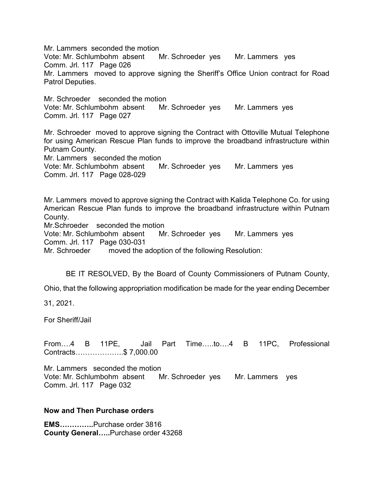Mr. Lammers seconded the motion

Vote: Mr. Schlumbohm absent Mr. Schroeder yes Mr. Lammers yes Comm. Jrl. 117 Page 026

Mr. Lammers moved to approve signing the Sheriff's Office Union contract for Road Patrol Deputies.

Mr. Schroeder seconded the motion Vote: Mr. Schlumbohm absent Mr. Schroeder yes Mr. Lammers yes Comm. Jrl. 117 Page 027

Mr. Schroeder moved to approve signing the Contract with Ottoville Mutual Telephone for using American Rescue Plan funds to improve the broadband infrastructure within Putnam County.

Mr. Lammers seconded the motion

Vote: Mr. Schlumbohm absent Mr. Schroeder yes Mr. Lammers yes Comm. Jrl. 117 Page 028-029

Mr. Lammers moved to approve signing the Contract with Kalida Telephone Co. for using American Rescue Plan funds to improve the broadband infrastructure within Putnam County.

Mr.Schroeder seconded the motion

Vote: Mr. Schlumbohm absent Mr. Schroeder yes Mr. Lammers yes Comm. Jrl. 117 Page 030-031

Mr. Schroeder moved the adoption of the following Resolution:

BE IT RESOLVED, By the Board of County Commissioners of Putnam County,

Ohio, that the following appropriation modification be made for the year ending December

31, 2021.

For Sheriff/Jail

From….4 B 11PE, Jail Part Time…..to….4 B 11PC, Professional Contracts………………..\$ 7,000.00

Mr. Lammers seconded the motion Vote: Mr. Schlumbohm absent Mr. Schroeder yes Mr. Lammers yes Comm. Jrl. 117 Page 032

## Now and Then Purchase orders

EMS…………..Purchase order 3816 County General…..Purchase order 43268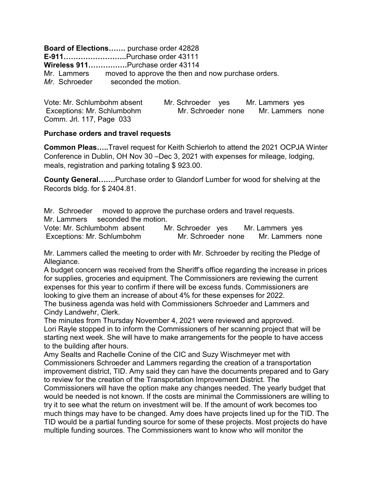Board of Elections……. purchase order 42828 E-911……………………..Purchase order 43111 Wireless 911…………….Purchase order 43114 Mr. Lammers moved to approve the then and now purchase orders. Mr. Schroeder seconded the motion.

Vote: Mr. Schlumbohm absent Mr. Schroeder yes Mr. Lammers yes Exceptions: Mr. Schlumbohm Mr. Schroeder none Mr. Lammers none Comm. Jrl. 117, Page 033

## Purchase orders and travel requests

Common Pleas…..Travel request for Keith Schierloh to attend the 2021 OCPJA Winter Conference in Dublin, OH Nov 30 –Dec 3, 2021 with expenses for mileage, lodging, meals, registration and parking totaling \$ 923.00.

County General…….Purchase order to Glandorf Lumber for wood for shelving at the Records bldg. for \$ 2404.81.

Mr. Schroeder moved to approve the purchase orders and travel requests. Mr. Lammers seconded the motion.

Vote: Mr. Schlumbohm absent Mr. Schroeder yes Mr. Lammers yes Exceptions: Mr. Schlumbohm Mr. Schroeder none Mr. Lammers none

Mr. Lammers called the meeting to order with Mr. Schroeder by reciting the Pledge of Allegiance.

A budget concern was received from the Sheriff's office regarding the increase in prices for supplies, groceries and equipment. The Commissioners are reviewing the current expenses for this year to confirm if there will be excess funds. Commissioners are looking to give them an increase of about 4% for these expenses for 2022.

The business agenda was held with Commissioners Schroeder and Lammers and Cindy Landwehr, Clerk.

The minutes from Thursday November 4, 2021 were reviewed and approved. Lori Rayle stopped in to inform the Commissioners of her scanning project that will be starting next week. She will have to make arrangements for the people to have access to the building after hours.

Amy Sealts and Rachelle Conine of the CIC and Suzy Wischmeyer met with Commissioners Schroeder and Lammers regarding the creation of a transportation improvement district, TID. Amy said they can have the documents prepared and to Gary to review for the creation of the Transportation Improvement District. The

Commissioners will have the option make any changes needed. The yearly budget that would be needed is not known. If the costs are minimal the Commissioners are willing to try it to see what the return on investment will be. If the amount of work becomes too much things may have to be changed. Amy does have projects lined up for the TID. The TID would be a partial funding source for some of these projects. Most projects do have multiple funding sources. The Commissioners want to know who will monitor the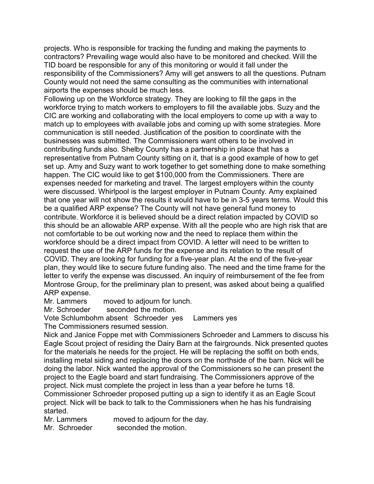projects. Who is responsible for tracking the funding and making the payments to contractors? Prevailing wage would also have to be monitored and checked. Will the TID board be responsible for any of this monitoring or would it fall under the responsibility of the Commissioners? Amy will get answers to all the questions. Putnam County would not need the same consulting as the communities with international airports the expenses should be much less.

Following up on the Workforce strategy. They are looking to fill the gaps in the workforce trying to match workers to employers to fill the available jobs. Suzy and the CIC are working and collaborating with the local employers to come up with a way to match up to employees with available jobs and coming up with some strategies. More communication is still needed. Justification of the position to coordinate with the businesses was submitted. The Commissioners want others to be involved in contributing funds also. Shelby County has a partnership in place that has a representative from Putnam County sitting on it, that is a good example of how to get set up. Amy and Suzy want to work together to get something done to make something happen. The CIC would like to get \$100,000 from the Commissioners. There are expenses needed for marketing and travel. The largest employers within the county were discussed. Whirlpool is the largest employer in Putnam County. Amy explained that one year will not show the results it would have to be in 3-5 years terms. Would this be a qualified ARP expense? The County will not have general fund money to contribute. Workforce it is believed should be a direct relation impacted by COVID so this should be an allowable ARP expense. With all the people who are high risk that are not comfortable to be out working now and the need to replace them within the workforce should be a direct impact from COVID. A letter will need to be written to request the use of the ARP funds for the expense and its relation to the result of COVID. They are looking for funding for a five-year plan. At the end of the five-year plan, they would like to secure future funding also. The need and the time frame for the letter to verify the expense was discussed. An inquiry of reimbursement of the fee from Montrose Group, for the preliminary plan to present, was asked about being a qualified ARP expense.

Mr. Lammers moved to adjourn for lunch.

Mr. Schroeder seconded the motion.

Vote Schlumbohm absent Schroeder yes Lammers yes

The Commissioners resumed session.

Nick and Janice Foppe met with Commissioners Schroeder and Lammers to discuss his Eagle Scout project of residing the Dairy Barn at the fairgrounds. Nick presented quotes for the materials he needs for the project. He will be replacing the soffit on both ends, installing metal siding and replacing the doors on the northside of the barn. Nick will be doing the labor. Nick wanted the approval of the Commissioners so he can present the project to the Eagle board and start fundraising. The Commissioners approve of the project. Nick must complete the project in less than a year before he turns 18. Commissioner Schroeder proposed putting up a sign to identify it as an Eagle Scout project. Nick will be back to talk to the Commissioners when he has his fundraising started.

Mr. Lammers moved to adjourn for the day. Mr. Schroeder seconded the motion.